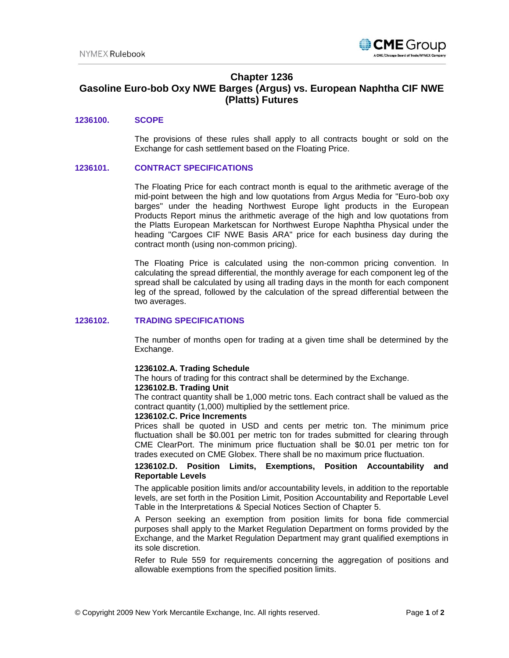

# **Chapter 1236**

# **Gasoline Euro-bob Oxy NWE Barges (Argus) vs. European Naphtha CIF NWE (Platts) Futures**

### **1236100. SCOPE**

The provisions of these rules shall apply to all contracts bought or sold on the Exchange for cash settlement based on the Floating Price.

#### **1236101. CONTRACT SPECIFICATIONS**

The Floating Price for each contract month is equal to the arithmetic average of the mid-point between the high and low quotations from Argus Media for "Euro-bob oxy barges" under the heading Northwest Europe light products in the European Products Report minus the arithmetic average of the high and low quotations from the Platts European Marketscan for Northwest Europe Naphtha Physical under the heading "Cargoes CIF NWE Basis ARA" price for each business day during the contract month (using non-common pricing).

The Floating Price is calculated using the non-common pricing convention. In calculating the spread differential, the monthly average for each component leg of the spread shall be calculated by using all trading days in the month for each component leg of the spread, followed by the calculation of the spread differential between the two averages.

### **1236102. TRADING SPECIFICATIONS**

The number of months open for trading at a given time shall be determined by the Exchange.

#### **1236102.A. Trading Schedule**

The hours of trading for this contract shall be determined by the Exchange.

#### **1236102.B. Trading Unit**

The contract quantity shall be 1,000 metric tons. Each contract shall be valued as the contract quantity (1,000) multiplied by the settlement price.

#### **1236102.C. Price Increments**

Prices shall be quoted in USD and cents per metric ton. The minimum price fluctuation shall be \$0.001 per metric ton for trades submitted for clearing through CME ClearPort. The minimum price fluctuation shall be \$0.01 per metric ton for trades executed on CME Globex. There shall be no maximum price fluctuation.

### **1236102.D. Position Limits, Exemptions, Position Accountability and Reportable Levels**

The applicable position limits and/or accountability levels, in addition to the reportable levels, are set forth in the Position Limit, Position Accountability and Reportable Level Table in the Interpretations & Special Notices Section of Chapter 5.

A Person seeking an exemption from position limits for bona fide commercial purposes shall apply to the Market Regulation Department on forms provided by the Exchange, and the Market Regulation Department may grant qualified exemptions in its sole discretion.

Refer to Rule 559 for requirements concerning the aggregation of positions and allowable exemptions from the specified position limits.